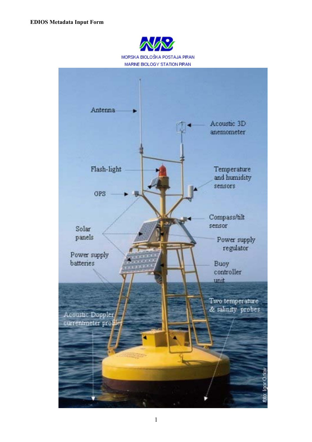

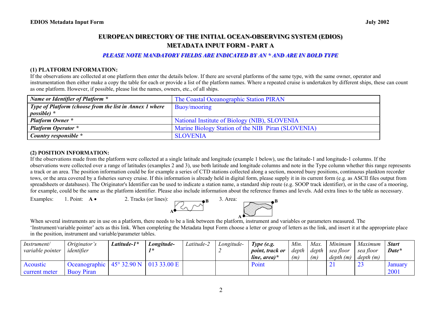# EUROPEAN DIRECTORY OF THE INITIAL OCEAN-OBSERVING SYSTEM (EDIOS) **METADATA INPUT FORM - PART A**

#### **PLEASE NOTE MANDATORY FIELDS ARE INDICATED BY AN \* AND ARE IN BOLD TYPE**

#### **(1) PLATFORM INFORMATION:**

If the observations are collected at one platform then enter the details below. If there are several platforms of the same type, with the same owner, operator and instrumentation then either make a copy the table for each or provide a list of the platform names. Where a repeated cruise is undertaken by different ships, these can count as one platform. However, if possible, please list the names, owners, etc., of all ships.

| Name or Identifier of Platform *                        | The Coastal Oceanographic Station PIRAN            |
|---------------------------------------------------------|----------------------------------------------------|
| Type of Platform (choose from the list in Annex 1 where | Buoy/mooring                                       |
| <i>possible</i> ) *                                     |                                                    |
| <b>Platform Owner</b> *                                 | National Institute of Biology (NIB), SLOVENIA      |
| <b>Platform Operator</b> *                              | Marine Biology Station of the NIB Piran (SLOVENIA) |
| Country responsible *                                   | <b>SLOVENIA</b>                                    |

#### **(2) POSITION INFORMATION:**

If the observations made from the platform were collected at a single latitude and longitude (example 1 below), use the latitude-1 and longitude-1 columns. If the observations were collected over a range of latitudes (examples 2 and 3), use both latitude and longitude columns and note in the Type column whether this range represents a track or an area. The position information could be for example a series of CTD stations collected along a section, moored buoy positions, continuous plankton recorder tows, or the area covered by a fisheries survey cruise. If this information is already held in digital form, please supply it in its current form (e.g. as ASCII files output from spreadsheets or databases). The Originator's Identifier can be used to indicate a station name, a standard ship route (e.g. SOOP track identifier), or in the case of a mooring, for example, could be the same as the platform identifier. Please also include information about the reference frames and levels. Add extra lines to the table as necessary.

**A**



When several instruments are in use on a platform, there needs to be a link between the platform, instrument and variables or parameters measured. The 'Instrument/variable pointer' acts as this link. When completing the Metadata Input Form choose a letter or group of letters as the link, and insert it at the appropriate place in the position, instrument and variable/parameter tables.

| Instrument/<br>variable pointer | Originator's<br>identifier         | Latitude-1*                         | Longitude- | Latitude-2 | Longitude- | Type (e.g.<br><i>point, track or</i><br>line, area) $*$ | Min.<br>depth<br>(m) | Max.<br>depth<br>(m) | Minimum<br>sea floor<br>depth(m) | Maximum<br>sea floor<br>depth(m) | <b>Start</b><br>Date*  |
|---------------------------------|------------------------------------|-------------------------------------|------------|------------|------------|---------------------------------------------------------|----------------------|----------------------|----------------------------------|----------------------------------|------------------------|
| Acoustic<br>current meter       | Oceanographic<br><b>Buoy Piran</b> | $145^{\circ}$ 32.90 N   013 33.00 E |            |            |            | Point                                                   |                      |                      |                                  | <u>_</u>                         | <b>January</b><br>2001 |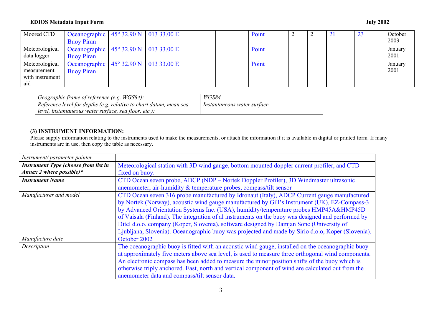#### **EDIOS Metadata Input Form July 2002**

| Moored CTD                                              | Oceanographic   $45^{\circ}$ 32.90 N   013 33.00 E  <br><b>Buoy Piran</b> |  |  | Point |  | ∠⊥ | 23 | October<br>2003 |
|---------------------------------------------------------|---------------------------------------------------------------------------|--|--|-------|--|----|----|-----------------|
| Meteorological<br>data logger                           | Oceanographic   45° 32.90 N   013 33.00 E  <br><b>Buoy Piran</b>          |  |  | Point |  |    |    | January<br>2001 |
| Meteorological<br>measurement<br>with instrument<br>aid | Oceanographic $45^{\circ}$ 32.90 N   013 33.00 E<br><b>Buoy Piran</b>     |  |  | Point |  |    |    | January<br>2001 |

| Geographic frame of reference (e.g. WGS84):                        | WGS84                       |
|--------------------------------------------------------------------|-----------------------------|
| Reference level for depths (e.g. relative to chart datum, mean sea | Instantaneous water surface |
| l level, instantaneous water surface, sea floor, etc.):            |                             |

## **(3) INSTRUMENT INFORMATION:**

Please supply information relating to the instruments used to make the measurements, or attach the information if it is available in digital or printed form. If many instruments are in use, then copy the table as necessary.

| Instrument/parameter pointer                                                                                    |                                                                                                    |  |  |
|-----------------------------------------------------------------------------------------------------------------|----------------------------------------------------------------------------------------------------|--|--|
| <b>Instrument Type (choose from list in</b>                                                                     | Meteorological station with 3D wind gauge, bottom mounted doppler current profiler, and CTD        |  |  |
| Annex 2 where possible)*                                                                                        | fixed on buoy.                                                                                     |  |  |
| <b>Instrument Name</b><br>CTD Ocean seven probe, ADCP (NDP – Nortek Doppler Profiler), 3D Windmaster ultrasonic |                                                                                                    |  |  |
|                                                                                                                 | anemometer, air-humidity & temperature probes, compass/tilt sensor                                 |  |  |
| Manufacturer and model                                                                                          | CTD Ocean seven 316 probe manufactured by Idronaut (Italy), ADCP Current gauge manufactured        |  |  |
|                                                                                                                 | by Nortek (Norway), acoustic wind gauge manufactured by Gill's Instrument (UK), EZ-Compass-3       |  |  |
|                                                                                                                 | by Advanced Orientation Systems Inc. (USA), humidity/temperature probes HMP45A&HMP45D              |  |  |
|                                                                                                                 | of Vaisala (Finland). The integration of al instruments on the buoy was designed and performed by  |  |  |
|                                                                                                                 | Ditel d.o.o. company (Koper, Slovenia), software designed by Damjan Sonc (University of            |  |  |
|                                                                                                                 | Ljubljana, Slovenia). Oceanographic buoy was projected and made by Sirio d.o.o, Koper (Slovenia).  |  |  |
| Manufacture date                                                                                                | October 2002                                                                                       |  |  |
| Description                                                                                                     | The oceanographic buoy is fitted with an acoustic wind gauge, installed on the oceanographic buoy  |  |  |
|                                                                                                                 | at approximately five meters above sea level, is used to measure three orthogonal wind components. |  |  |
|                                                                                                                 | An electronic compass has been added to measure the minor position shifts of the buoy which is     |  |  |
|                                                                                                                 | otherwise triply anchored. East, north and vertical component of wind are calculated out from the  |  |  |
|                                                                                                                 | anemometer data and compass/tilt sensor data.                                                      |  |  |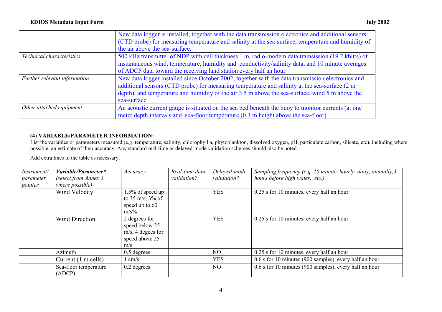|                              | New data logger is installed, together with the data transmission electronics and additional sensors<br>(CTD probe) for measuring temperature and salinity at the sea-surface, temperature and humidity of<br>the air above the sea-surface.                                                                          |
|------------------------------|-----------------------------------------------------------------------------------------------------------------------------------------------------------------------------------------------------------------------------------------------------------------------------------------------------------------------|
| Technical characteristics    | 500 kHz transmitter of NDP with cell thickness 1 m, radio-modem data tramsission (19.2 kbit/s) of<br>instantaneous wind, temperature, humidity and conductivity/salinity data, and 10 minute averages<br>of ADCP data toward the receiving land station every half an hour                                            |
| Further relevant information | New data logger installed since October 2002, together with the data transmission electronics and<br>additional sensors (CTD probe) for measuring temperature and salinity at the sea-surface (2 m<br>depth), and temperature and humidity of the air 3.5 m above the sea-surface, wind 5 m above the<br>sea-surface. |
| Other attached equipment     | An acoustic current gauge is situated on the sea bed beneath the buoy to monitor currents (at one<br>meter depth intervals and sea-floor temperature. (0.3 m height above the sea-floor)                                                                                                                              |

## **(4) VARIABLE/PARAMETER INFORMATION:**

List the variables or parameters measured (e.g. temperature, salinity, chlorophyll a, phytoplankton, dissolved oxygen, pH, particulate carbon, silicate, etc), including where possible, an estimate of their accuracy. Any standard real-time or delayed-mode validation schemes should also be noted.

Add extra lines to the table as necessary.

| Instrument/ | Variable/Parameter*   | Accuracy             | Real-time data | Delayed-mode   | Sampling frequency (e.g. 10 minute, hourly, daily, annually, 3 |
|-------------|-----------------------|----------------------|----------------|----------------|----------------------------------------------------------------|
| parameter   | (select from Annex 3  |                      | validation?    | validation?    | hours before high water, etc.)                                 |
| pointer     | where possible)       |                      |                |                |                                                                |
|             | Wind Velocity         | 1.5% of speed up     |                | <b>YES</b>     | 0.25 s for 10 minutes, every half an hour                      |
|             |                       | to 35 m/s, $3\%$ of  |                |                |                                                                |
|             |                       | speed up to 60       |                |                |                                                                |
|             |                       | $m/s\%$              |                |                |                                                                |
|             | <b>Wind Direction</b> | 2 degrees for        |                | <b>YES</b>     | 0.25 s for 10 minutes, every half an hour                      |
|             |                       | speed below 25       |                |                |                                                                |
|             |                       | $m/s$ , 4 degees for |                |                |                                                                |
|             |                       | speed above 25       |                |                |                                                                |
|             |                       | m/s                  |                |                |                                                                |
|             | Azimuth               | $0.5$ degrees        |                | N <sub>O</sub> | 0.25 s for 10 minutes, every half an hour                      |
|             | Current (1 m cells)   | cm/s                 |                | <b>YES</b>     | 0.6 s for 10 minutes (900 samples), every half an hour         |
|             | Sea-floor temperature | $0.2$ degrees        |                | N <sub>O</sub> | 0.6 s for 10 minutes (900 samples), every half an hour         |
|             | (ADCP)                |                      |                |                |                                                                |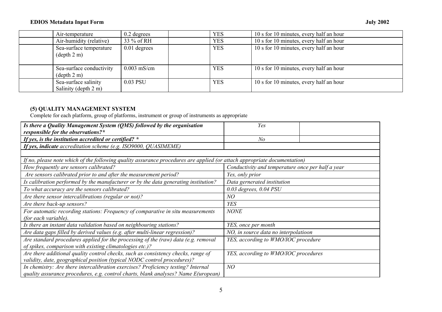#### **EDIOS Metadata Input Form July 2002**

| Air-temperature                                           | $0.2$ degrees  | <b>YES</b> | 10 s for 10 minutes, every half an hour |
|-----------------------------------------------------------|----------------|------------|-----------------------------------------|
| Air-humidity (relative)                                   | 33 % of RH     | <b>YES</b> | 10 s for 10 minutes, every half an hour |
| Sea-surface temperature<br>$(\text{depth } 2 \text{ m})$  | $0.01$ degrees | <b>YES</b> | 10 s for 10 minutes, every half an hour |
| Sea-surface conductivity<br>$(\text{depth } 2 \text{ m})$ | $0.003$ mS/cm  | <b>YES</b> | 10 s for 10 minutes, every half an hour |
| Sea-surface salinity<br>Salinity (depth 2 m)              | 0.03 PSU       | <b>YES</b> | 10 s for 10 minutes, every half an hour |

### **(5) QUALITY MANAGEMENT SYSTEM**

Complete for each platform, group of platforms, instrument or group of instruments as appropriate

| Is there a Quality Management System (QMS) followed by the organisation<br>responsible for the observations?*                                                           | Yes                                               |
|-------------------------------------------------------------------------------------------------------------------------------------------------------------------------|---------------------------------------------------|
| If yes, is the institution accredited or certified? $*$                                                                                                                 | N o                                               |
| If yes, indicate accreditation scheme (e.g. ISO9000, QUASIMEME)                                                                                                         |                                                   |
|                                                                                                                                                                         |                                                   |
| If no, please note which of the following quality assurance procedures are applied (or attach appropriate documentation)                                                |                                                   |
| How frequently are sensors calibrated?                                                                                                                                  | Conductivity and temperature once per half a year |
| Are sensors calibrated prior to and after the measurement period?                                                                                                       | Yes, only prior                                   |
| Is calibration performed by the manufacturer or by the data generating institution?                                                                                     | Data gernerated institution                       |
| To what accuracy are the sensors calibrated?                                                                                                                            | $0.03$ degrees, $0.04$ PSU                        |
| Are there sensor intercalibrations (regular or not)?                                                                                                                    | NO                                                |
| Are there back-up sensors?                                                                                                                                              | <b>YES</b>                                        |
| For automatic recording stations: Frequency of comparative in situ measurements<br>(for each variable).                                                                 | <b>NONE</b>                                       |
| Is there an instant data validation based on neighbouring stations?                                                                                                     | YES, once per month                               |
| Are data gaps filled by derived values (e.g. after multi-linear regression)?                                                                                            | NO, in source data no interpolatioon              |
| Are standard procedures applied for the processing of the (raw) data (e.g. removal<br>of spikes, comparison with existing climatologies etc.)?                          | YES, according to WMO/IOC procedure               |
| Are there additional quality control checks, such as consistency checks, range of<br>validity, date, geographical position (typical NODC control procedures)?           | YES, according to WMO/IOC procedures              |
| In chemistry: Are there intercalibration exercises? Proficiency testing? Internal<br>quality assurance procedures, e.g. control charts, blank analyses? Name E(uropean) | NO                                                |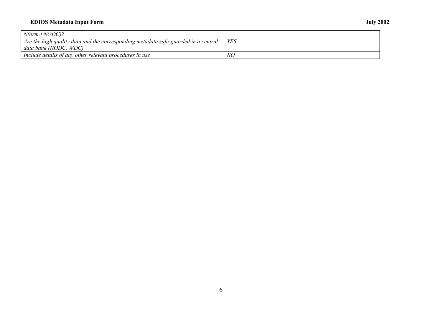## **EDIOS Metadata Input Form July 2002**

| $N(orm,) NODC$ ?                                                                   |            |
|------------------------------------------------------------------------------------|------------|
| Are the high quality data and the corresponding metadata safe-guarded in a central | <b>YES</b> |
| data bank (NODC, WDC)                                                              |            |
| Include details of any other relevant procedures in use                            | NO         |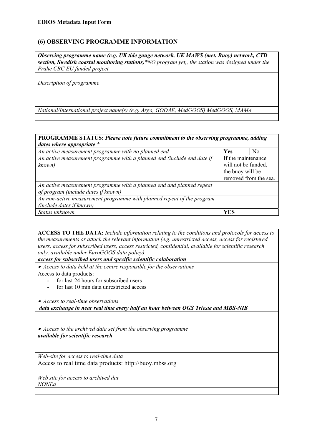## **(6) OBSERVING PROGRAMME INFORMATION**

*Observing programme name (e.g. UK tide gauge network, UK MAWS (met. Buoy) network, CTD section, Swedish coastal monitoring stations)\*NO program yet,, the station was designed under the Prahe CBC EU funded project* 

*Description of programme*

*National/International project name(s) (e.g. Argo, GODAE, MedGOOS) MedGOOS, MAMA* 

#### **PROGRAMME STATUS:** *Please note future commitment to the observing programme, adding dates where appropriate \**

| An active measurement programme with no planned end                     | Yes                   | N <sub>0</sub> |  |
|-------------------------------------------------------------------------|-----------------------|----------------|--|
| An active measurement programme with a planned end (include end date if | If the maintenance    |                |  |
| known)                                                                  | will not be funded,   |                |  |
|                                                                         | the buoy will be      |                |  |
|                                                                         | removed from the sea. |                |  |
| An active measurement programme with a planned end and planned repeat   |                       |                |  |
| of program (include dates if known)                                     |                       |                |  |
| An non-active measurement programme with planned repeat of the program  |                       |                |  |
| <i>(include dates if known)</i>                                         |                       |                |  |
| Status unknown                                                          | YES                   |                |  |

**ACCESS TO THE DATA:** *Include information relating to the conditions and protocols for access to the measurements or attach the relevant information (e.g. unrestricted access, access for registered users, access for subscribed users, access restricted, confidential, available for scientific research only, available under EuroGOOS data policy).* 

*access for subscribed users and specific scientific colaboration* 

• *Access to data held at the centre responsible for the observations* 

Access to data products:

- for last 24 hours for subscribed users
- for last 10 min data unrestricted access

• *Access to real-time observations data exchange in near real time every half an hour between OGS Trieste and MBS-NIB*

• *Access to the archived data set from the observing programme available for scientific research*

*Web-site for access to real-time data*  Access to real time data products: http://buoy.mbss.org

*Web site for access to archived dat NONEa*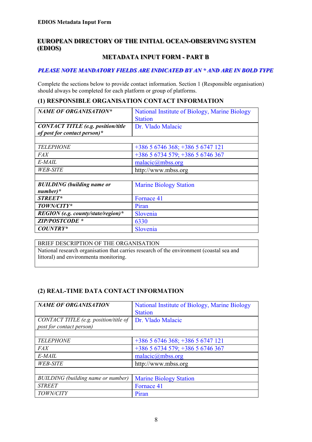## **EUROPEAN DIRECTORY OF THE INITIAL OCEAN-OBSERVING SYSTEM**  $(EDIOS)$

## **METADATA INPUT FORM - PART B**

## **PLEASE NOTE MANDATORY FIELDS ARE INDICATED BY AN \* AND ARE IN BOLD TYPE**

Complete the sections below to provide contact information. Section 1 (Responsible organisation) should always be completed for each platform or group of platforms.

### **(1) RESPONSIBLE ORGANISATION CONTACT INFORMATION**

| <b>NAME OF ORGANISATION*</b>              | National Institute of Biology, Marine Biology |
|-------------------------------------------|-----------------------------------------------|
|                                           | <b>Station</b>                                |
| <b>CONTACT TITLE</b> (e.g. position/title | Dr. Vlado Malacic                             |
| of post for contact person)*              |                                               |
|                                           |                                               |
| <b>TELEPHONE</b>                          | $+38656746368$ ; $+38656747121$               |
| FAX                                       | +386 5 6734 579; +386 5 6746 367              |
| E-MAIL                                    | $malaci\alpha$ <sub>mbss.org</sub>            |
| <i>WEB-SITE</i>                           | http://www.mbss.org                           |
|                                           |                                               |
| <b>BUILDING</b> (building name or         | <b>Marine Biology Station</b>                 |
| $number)*$                                |                                               |
| STREET*                                   | Fornace 41                                    |
| TOWN/CITY*                                | Piran                                         |
| REGION (e.g. county/state/region)*        | Slovenia                                      |
| <b>ZIP/POSTCODE *</b>                     | 6330                                          |
| <b>COUNTRY*</b>                           | Slovenia                                      |

BRIEF DESCRIPTION OF THE ORGANISATION National research organisation that carries research of the environment (coastal sea and littoral) and environmenta monitoring.

## **(2) REAL-TIME DATA CONTACT INFORMATION**

| <b>NAME OF ORGANISATION</b>           | National Institute of Biology, Marine Biology |
|---------------------------------------|-----------------------------------------------|
|                                       | <b>Station</b>                                |
| CONTACT TITLE (e.g. position/title of | Dr. Vlado Malacic                             |
| post for contact person)              |                                               |
|                                       |                                               |
| <b>TELEPHONE</b>                      | $+38656746368$ ; $+38656747121$               |
| FAX                                   | +386 5 6734 579; +386 5 6746 367              |
| E-MAIL                                | malacic@mbss.org                              |
| <b>WEB-SITE</b>                       | http://www.mbss.org                           |
|                                       |                                               |
| BUILDING (building name or number)    | <b>Marine Biology Station</b>                 |
| <b>STREET</b>                         | Fornace 41                                    |
| TOWN/CITY                             | Piran                                         |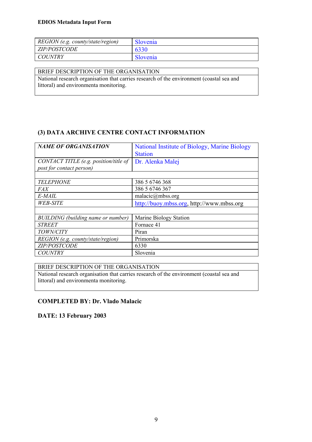#### **EDIOS Metadata Input Form**

| REGION (e.g. county/state/region) | Slovenia |
|-----------------------------------|----------|
| <b>ZIP/POSTCODE</b>               | 6330     |
| COUNTRY                           | Slovenia |

## BRIEF DESCRIPTION OF THE ORGANISATION

National research organisation that carries research of the environment (coastal sea and littoral) and environmenta monitoring.

## **(3) DATA ARCHIVE CENTRE CONTACT INFORMATION**

| <b>NAME OF ORGANISATION</b>               | National Institute of Biology, Marine Biology |
|-------------------------------------------|-----------------------------------------------|
|                                           | <b>Station</b>                                |
| CONTACT TITLE (e.g. position/title of     | Dr. Alenka Malej                              |
| post for contact person)                  |                                               |
|                                           |                                               |
| <b>TELEPHONE</b>                          | 386 5 6746 368                                |
| FAX                                       | 386 5 6746 367                                |
| E-MAIL                                    | malacic $(a)$ mbss.org                        |
| <b>WEB-SITE</b>                           | http://buoy.mbss.org, http://www.mbss.org     |
|                                           |                                               |
| <b>BUILDING</b> (building name or number) | Marine Biology Station                        |
| <b>STREET</b>                             | Fornace 41                                    |
| TOWN/CITY                                 | Piran                                         |
| REGION (e.g. county/state/region)         | Primorska                                     |
| ZIP/POSTCODE                              | 6330                                          |
| <b>COUNTRY</b>                            | Slovenia                                      |

#### BRIEF DESCRIPTION OF THE ORGANISATION

National research organisation that carries research of the environment (coastal sea and littoral) and environmenta monitoring.

#### **COMPLETED BY: Dr. Vlado Malacic**

**DATE: 13 February 2003**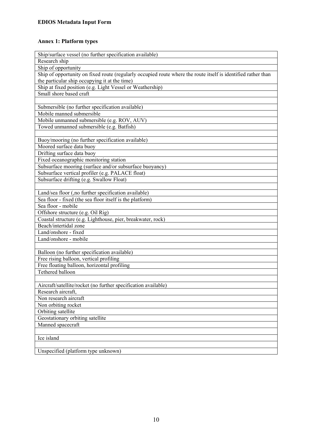# **Annex 1: Platform types**

| Ship/surface vessel (no further specification available)                                                      |
|---------------------------------------------------------------------------------------------------------------|
| Research ship                                                                                                 |
| Ship of opportunity                                                                                           |
| Ship of opportunity on fixed route (regularly occupied route where the route itself is identified rather than |
| the particular ship occupying it at the time)                                                                 |
| Ship at fixed position (e.g. Light Vessel or Weathership)                                                     |
| Small shore based craft                                                                                       |
|                                                                                                               |
| Submersible (no further specification available)                                                              |
| Mobile manned submersible                                                                                     |
| Mobile unmanned submersible (e.g. ROV, AUV)                                                                   |
| Towed unmanned submersible (e.g. Batfish)                                                                     |
|                                                                                                               |
| Buoy/mooring (no further specification available)                                                             |
| Moored surface data buoy                                                                                      |
| Drifting surface data buoy                                                                                    |
| Fixed oceanographic monitoring station                                                                        |
| Subsurface mooring (surface and/or subsurface buoyancy)                                                       |
| Subsurface vertical profiler (e.g. PALACE float)                                                              |
|                                                                                                               |
| Subsurface drifting (e.g. Swallow Float)                                                                      |
| Land/sea floor (,no further specification available)                                                          |
| Sea floor - fixed (the sea floor itself is the platform)                                                      |
| Sea floor - mobile                                                                                            |
| Offshore structure (e.g. Oil Rig)                                                                             |
| Coastal structure (e.g. Lighthouse, pier, breakwater, rock)                                                   |
| Beach/intertidal zone                                                                                         |
| Land/onshore - fixed                                                                                          |
| Land/onshore - mobile                                                                                         |
|                                                                                                               |
|                                                                                                               |
| Balloon (no further specification available)                                                                  |
| Free rising balloon, vertical profiling                                                                       |
| Free floating balloon, horizontal profiling                                                                   |
| Tethered balloon                                                                                              |
|                                                                                                               |
| Aircraft/satellite/rocket (no further specification available)                                                |
| Research aircraft,                                                                                            |
| Non research aircraft                                                                                         |
| Non orbiting rocket                                                                                           |
| Orbiting satellite                                                                                            |
| Geostationary orbiting satellite                                                                              |
| Manned spacecraft                                                                                             |
|                                                                                                               |
| Ice island                                                                                                    |
|                                                                                                               |
| Unspecified (platform type unknown)                                                                           |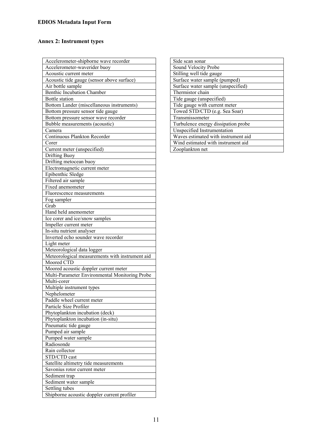# **Annex 2: Instrument types**

| Accelerometer-shipborne wave recorder                                                   |
|-----------------------------------------------------------------------------------------|
| Accelerometer-waverider buoy                                                            |
| Acoustic current meter                                                                  |
| Acoustic tide gauge (sensor above surface)                                              |
| Air bottle sample                                                                       |
| Benthic Incubation Chamber                                                              |
| Bottle station                                                                          |
| Bottom Lander (miscellaneous instruments)                                               |
| Bottom pressure sensor tide gauge                                                       |
| Bottom pressure sensor wave recorder                                                    |
| Bubble measurements (acoustic)                                                          |
| Camera                                                                                  |
| Continuous Plankton Recorder                                                            |
| Corer                                                                                   |
| Current meter (unspecified)                                                             |
| <b>Drifting Buoy</b>                                                                    |
| Drifting metocean buoy                                                                  |
| Electromagnetic current meter                                                           |
| Epibenthic Sledge                                                                       |
| Filtered air sample                                                                     |
| Fixed anemometer                                                                        |
|                                                                                         |
| Fluorescence measurements                                                               |
| Fog sampler<br>Grab                                                                     |
|                                                                                         |
| Hand held anemometer                                                                    |
| Ice corer and ice/snow samples                                                          |
| Impeller current meter                                                                  |
| In-situ nutrient analyser                                                               |
| Inverted echo sounder wave recorder                                                     |
| Light meter                                                                             |
| Meteorological data logger<br>Meteorological measurements with instrument aid           |
| Moored CTD                                                                              |
|                                                                                         |
| Moored acoustic doppler current meter<br>Multi-Parameter Environmental Monitoring Probe |
|                                                                                         |
| Multi-corer                                                                             |
| Multiple instrument types                                                               |
| Nephelometer                                                                            |
| Paddle wheel current meter<br>Particle Size Profiler                                    |
|                                                                                         |
| Phytoplankton incubation (deck)                                                         |
| Phytoplankton incubation (in-situ)                                                      |
|                                                                                         |
| Pneumatic tide gauge                                                                    |
| Pumped air sample                                                                       |
| Pumped water sample                                                                     |
| Radiosonde                                                                              |
| Rain collector                                                                          |
| STD/CTD cast                                                                            |
| Satellite altimetry tide measurements                                                   |
| Savonius rotor current meter                                                            |
| Sediment trap                                                                           |
| Sediment water sample                                                                   |
| Settling tubes<br>Shipborne acoustic doppler current profiler                           |

| Side scan sonar                     |
|-------------------------------------|
| Sound Velocity Probe                |
| Stilling well tide gauge            |
| Surface water sample (pumped)       |
| Surface water sample (unspecified)  |
| Thermistor chain                    |
| Tide gauge (unspecified)            |
| Tide gauge with current meter       |
| Towed STD/CTD (e.g. Sea Soar)       |
| Transmissometer                     |
| Turbulence energy dissipation probe |
| Unspecified Instrumentation         |
| Waves estimated with instrument aid |
| Wind estimated with instrument aid  |
| Zooplankton net                     |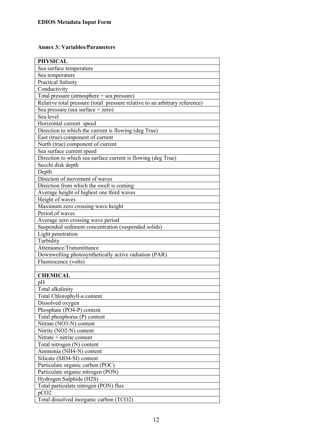## **Annex 3: Variables/Parameters**

| <b>PHYSICAL</b>                                                             |
|-----------------------------------------------------------------------------|
| Sea surface temperature                                                     |
| Sea temperature                                                             |
| <b>Practical Salinity</b>                                                   |
| Conductivity                                                                |
| Total pressure (atmosphere + sea pressure)                                  |
| Relative total pressure (total pressure relative to an arbitrary reference) |
| Sea pressure (sea surface $=$ zero)                                         |
| Sea level                                                                   |
| Horizontal current speed                                                    |
| Direction to which the current is flowing (deg True)                        |
| East (true) component of current                                            |
| North (true) component of current                                           |
| Sea surface current speed                                                   |
| Direction to which sea surface current is flowing (deg True)                |
| Secchi disk depth                                                           |
| Depth                                                                       |
| Direction of movement of waves                                              |
| Direction from which the swell is coming                                    |
| Average height of highest one third waves                                   |
| Height of waves                                                             |
| Maximum zero crossing wave height                                           |
| Period of waves                                                             |
| Average zero crossing wave period                                           |
| Suspended sediment concentration (suspended solids)                         |
| Light penetration                                                           |
| Turbidity                                                                   |
| Attenuance/Transmittance                                                    |
| Downwelling photosynthetically active radiation (PAR)                       |
| Fluorescence (volts)                                                        |
|                                                                             |
| <b>CHEMICAL</b>                                                             |
| pH                                                                          |
| Total alkalinity                                                            |
| Total Chlorophyll-a content                                                 |
| Dissolved oxygen                                                            |
| Phosphate (PO4-P) content                                                   |
| Total phosphorus (P) content                                                |
| Nitrate (NO3-N) content                                                     |
| Nitrite (NO2-N) content                                                     |
| Nitrate + nitrite content                                                   |
| Total nitrogen (N) content                                                  |
| Ammonia (NH4-N) content                                                     |
| Silicate (SIO4-SI) content                                                  |
| Particulate organic carbon (POC)                                            |
| Particulate organic nitrogen (PON)                                          |
| Hydrogen Sulphide (H2S)                                                     |
| Total particulate nitrogen (PON) flux                                       |
| pCO <sub>2</sub>                                                            |
| Total dissolved inorganic carbon (TCO2)                                     |
|                                                                             |